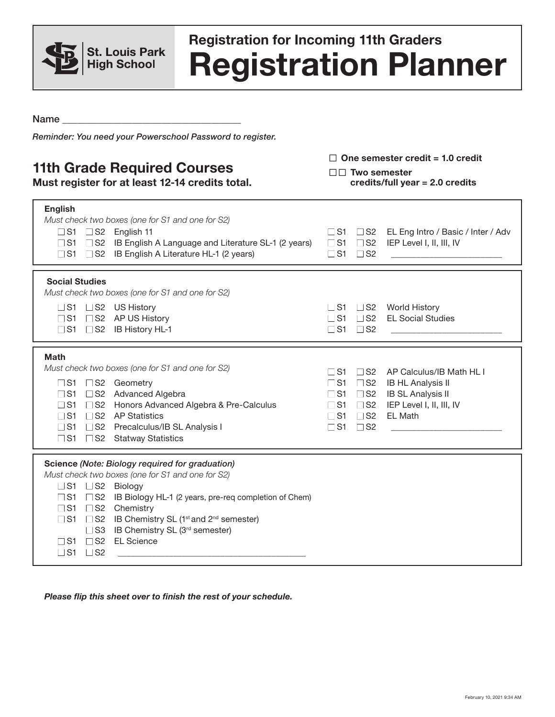

## **Registration Planner Registration for Incoming 11th Graders**

Name

*Reminder: You need your Powerschool Password to register.*

## **11th Grade Required Courses**

**Must register for at least 12-14 credits total.** 

□ One semester credit = 1.0 credit

□□ Two semester **credits/full year = 2.0 credits**

| <b>English</b><br>Must check two boxes (one for S1 and one for S2)<br>$\Box$ S1 $\Box$ S2 English 11<br>□ S1 □ S2 IB English A Language and Literature SL-1 (2 years)<br>S1 S2 IB English A Literature HL-1 (2 years)                                                                                                                                                                                                                                            | EL Eng Intro / Basic / Inter / Adv<br>$\Box$ S1<br>$\square$ S2<br>$\square$ S1<br>$\Box$ S2<br>IEP Level I, II, III, IV<br>$\square$ S1<br>$\Box$ S2                                                                                                                                              |
|------------------------------------------------------------------------------------------------------------------------------------------------------------------------------------------------------------------------------------------------------------------------------------------------------------------------------------------------------------------------------------------------------------------------------------------------------------------|----------------------------------------------------------------------------------------------------------------------------------------------------------------------------------------------------------------------------------------------------------------------------------------------------|
| <b>Social Studies</b><br>Must check two boxes (one for S1 and one for S2)<br>□S1 □S2 US History<br>□S1 □S2 AP US History<br>$\Box$ S1 $\Box$ S2 IB History HL-1                                                                                                                                                                                                                                                                                                  | $\Box$ S1 $\Box$ S2<br><b>World History</b><br><b>EL Social Studies</b><br>$\Box$ S1 $\Box$ S2<br>$\vert$ S1 $\vert$ S2                                                                                                                                                                            |
| <b>Math</b><br>Must check two boxes (one for S1 and one for S2)<br>□S1 □S2 Geometry<br>S2 Advanced Algebra<br>$\Box$ S1<br>S2 Honors Advanced Algebra & Pre-Calculus<br>$\square$ S1<br>□S2 AP Statistics<br>$\Box$ S1<br>S2 Precalculus/IB SL Analysis I<br>$\Box$ S1<br>□S1 □S2 Statway Statistics                                                                                                                                                             | AP Calculus/IB Math HL I<br>$\Box$ S1<br>$\Box$ S2<br>$\square$ S1<br>$\square$ S2<br><b>IB HL Analysis II</b><br>$\Box$ S2<br><b>IB SL Analysis II</b><br>$\Box$ S1<br>IEP Level I, II, III, IV<br>$\Box$ S1<br>$\square$ S2<br>$\square$ S1<br>$\square$ S2<br>EL Math<br>$\Box$ S1<br>$\Box$ S2 |
| Science (Note: Biology required for graduation)<br>Must check two boxes (one for S1 and one for S2)<br>$\Box$ S1 $\Box$ S2 Biology<br>IB Biology HL-1 (2 years, pre-req completion of Chem)<br>$\Box$ S1<br>$\Box$ S2<br>$\square$ S2<br>Chemistry<br>$\Box$ S1<br>□ S2 IB Chemistry SL (1 <sup>st</sup> and 2 <sup>nd</sup> semester)<br>$\Box$ S1<br>IB Chemistry SL (3rd semester)<br>$\square$ S3<br>□ S2 EL Science<br>$\Box$ S1<br>$\Box$ S2<br>$\vert$ S1 |                                                                                                                                                                                                                                                                                                    |

*Please flip this sheet over to finish the rest of your schedule.*